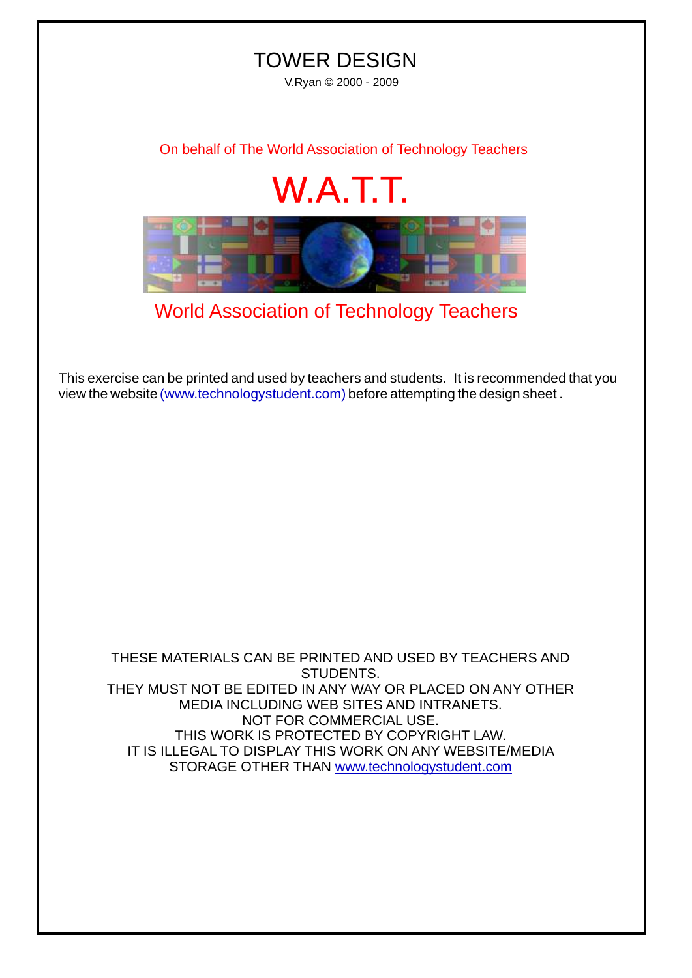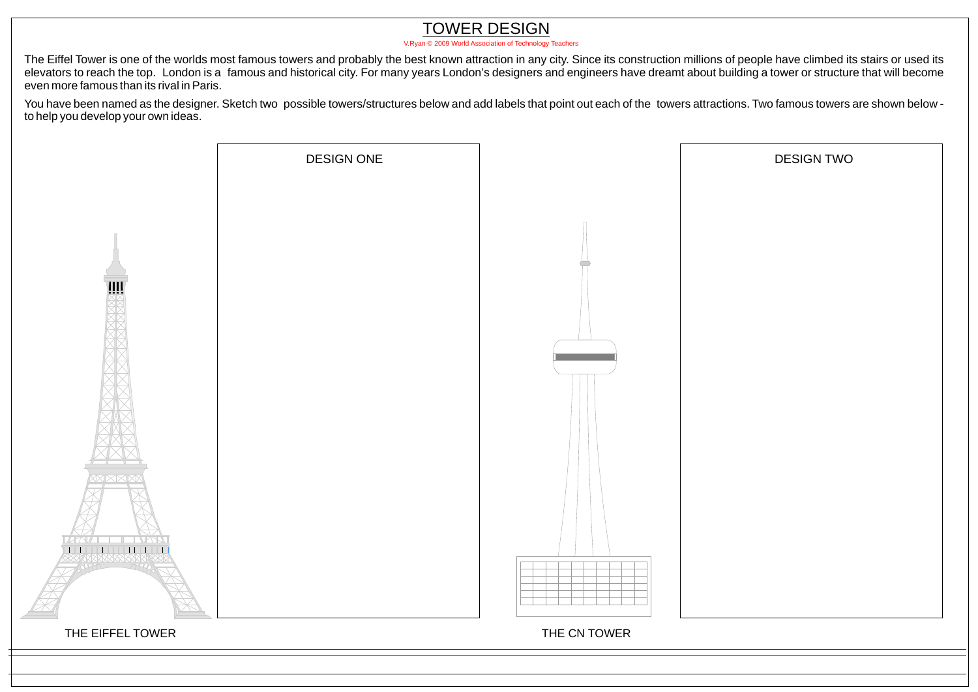## TOWER DESIGN

[V.Ryan © 2009 World Association of Technology Teachers](http://www.technologystudent.com)

The Eiffel Tower is one of the worlds most famous towers and probably the best known attraction in any city. Since its construction millions of people have climbed its stairs or used its elevators to reach the top. London is a famous and historical city. For many years London's designers and engineers have dreamt about building a tower or structure that will become even more famous than its rival in Paris.

You have been named as the designer. Sketch two possible towers/structures below and add labels that point out each of the towers attractions. Two famous towers are shown below to help you develop your own ideas.